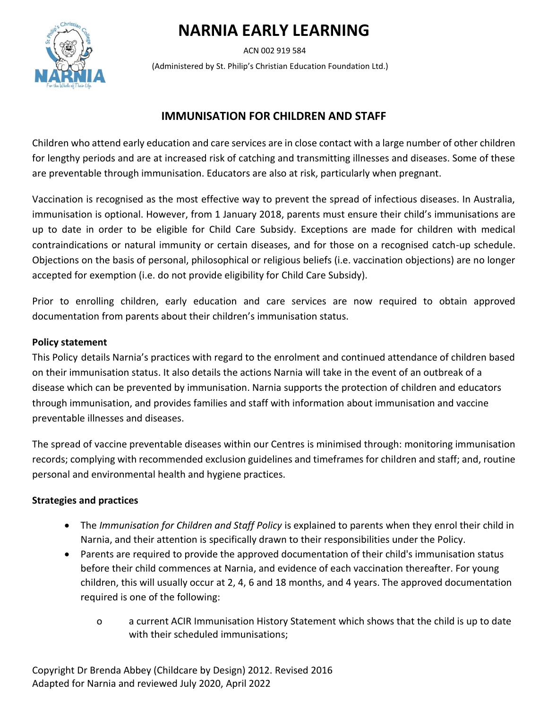# **NARNIA EARLY LEARNING**

ACN 002 919 584

(Administered by St. Philip's Christian Education Foundation Ltd.)

# **IMMUNISATION FOR CHILDREN AND STAFF**

Children who attend early education and care services are in close contact with a large number of other children for lengthy periods and are at increased risk of catching and transmitting illnesses and diseases. Some of these are preventable through immunisation. Educators are also at risk, particularly when pregnant.

Vaccination is recognised as the most effective way to prevent the spread of infectious diseases. In Australia, immunisation is optional. However, from 1 January 2018, parents must ensure their child's immunisations are up to date in order to be eligible for Child Care Subsidy. Exceptions are made for children with medical contraindications or natural immunity or certain diseases, and for those on a recognised catch-up schedule. Objections on the basis of personal, philosophical or religious beliefs (i.e. vaccination objections) are no longer accepted for exemption (i.e. do not provide eligibility for Child Care Subsidy).

Prior to enrolling children, early education and care services are now required to obtain approved documentation from parents about their children's immunisation status.

#### **Policy statement**

This Policy details Narnia's practices with regard to the enrolment and continued attendance of children based on their immunisation status. It also details the actions Narnia will take in the event of an outbreak of a disease which can be prevented by immunisation. Narnia supports the protection of children and educators through immunisation, and provides families and staff with information about immunisation and vaccine preventable illnesses and diseases.

The spread of vaccine preventable diseases within our Centres is minimised through: monitoring immunisation records; complying with recommended exclusion guidelines and timeframes for children and staff; and, routine personal and environmental health and hygiene practices.

## **Strategies and practices**

- The *Immunisation for Children and Staff Policy* is explained to parents when they enrol their child in Narnia, and their attention is specifically drawn to their responsibilities under the Policy.
- Parents are required to provide the approved documentation of their child's immunisation status before their child commences at Narnia, and evidence of each vaccination thereafter. For young children, this will usually occur at 2, 4, 6 and 18 months, and 4 years. The approved documentation required is one of the following:
	- o a current ACIR Immunisation History Statement which shows that the child is up to date with their scheduled immunisations;

Copyright Dr Brenda Abbey (Childcare by Design) 2012. Revised 2016 Adapted for Narnia and reviewed July 2020, April 2022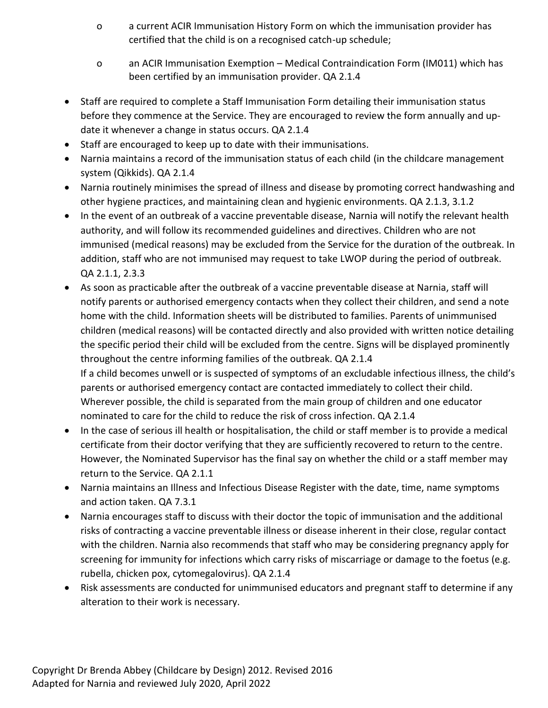- o a current ACIR Immunisation History Form on which the immunisation provider has certified that the child is on a recognised catch-up schedule;
- o an ACIR Immunisation Exemption Medical Contraindication Form (IM011) which has been certified by an immunisation provider. QA 2.1.4
- Staff are required to complete a Staff Immunisation Form detailing their immunisation status before they commence at the Service. They are encouraged to review the form annually and update it whenever a change in status occurs. QA 2.1.4
- Staff are encouraged to keep up to date with their immunisations.
- Narnia maintains a record of the immunisation status of each child (in the childcare management system (Qikkids). QA 2.1.4
- Narnia routinely minimises the spread of illness and disease by promoting correct handwashing and other hygiene practices, and maintaining clean and hygienic environments. QA 2.1.3, 3.1.2
- In the event of an outbreak of a vaccine preventable disease, Narnia will notify the relevant health authority, and will follow its recommended guidelines and directives. Children who are not immunised (medical reasons) may be excluded from the Service for the duration of the outbreak. In addition, staff who are not immunised may request to take LWOP during the period of outbreak. QA 2.1.1, 2.3.3
- As soon as practicable after the outbreak of a vaccine preventable disease at Narnia, staff will notify parents or authorised emergency contacts when they collect their children, and send a note home with the child. Information sheets will be distributed to families. Parents of unimmunised children (medical reasons) will be contacted directly and also provided with written notice detailing the specific period their child will be excluded from the centre. Signs will be displayed prominently throughout the centre informing families of the outbreak. QA 2.1.4 If a child becomes unwell or is suspected of symptoms of an excludable infectious illness, the child's parents or authorised emergency contact are contacted immediately to collect their child. Wherever possible, the child is separated from the main group of children and one educator nominated to care for the child to reduce the risk of cross infection. QA 2.1.4
- In the case of serious ill health or hospitalisation, the child or staff member is to provide a medical certificate from their doctor verifying that they are sufficiently recovered to return to the centre. However, the Nominated Supervisor has the final say on whether the child or a staff member may return to the Service. QA 2.1.1
- Narnia maintains an Illness and Infectious Disease Register with the date, time, name symptoms and action taken. QA 7.3.1
- Narnia encourages staff to discuss with their doctor the topic of immunisation and the additional risks of contracting a vaccine preventable illness or disease inherent in their close, regular contact with the children. Narnia also recommends that staff who may be considering pregnancy apply for screening for immunity for infections which carry risks of miscarriage or damage to the foetus (e.g. rubella, chicken pox, cytomegalovirus). QA 2.1.4
- Risk assessments are conducted for unimmunised educators and pregnant staff to determine if any alteration to their work is necessary.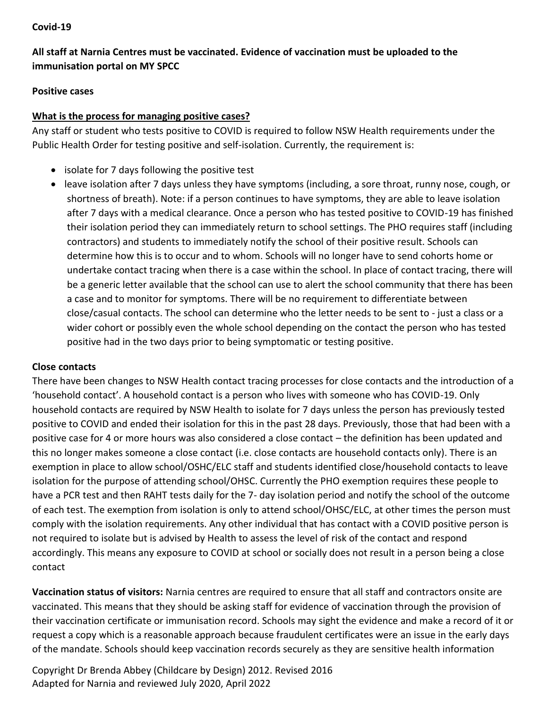#### **Covid-19**

# **All staff at Narnia Centres must be vaccinated. Evidence of vaccination must be uploaded to the immunisation portal on MY SPCC**

#### **Positive cases**

#### **What is the process for managing positive cases?**

Any staff or student who tests positive to COVID is required to follow NSW Health requirements under the Public Health Order for testing positive and self-isolation. Currently, the requirement is:

- isolate for 7 days following the positive test
- leave isolation after 7 days unless they have symptoms (including, a sore throat, runny nose, cough, or shortness of breath). Note: if a person continues to have symptoms, they are able to leave isolation after 7 days with a medical clearance. Once a person who has tested positive to COVID-19 has finished their isolation period they can immediately return to school settings. The PHO requires staff (including contractors) and students to immediately notify the school of their positive result. Schools can determine how this is to occur and to whom. Schools will no longer have to send cohorts home or undertake contact tracing when there is a case within the school. In place of contact tracing, there will be a generic letter available that the school can use to alert the school community that there has been a case and to monitor for symptoms. There will be no requirement to differentiate between close/casual contacts. The school can determine who the letter needs to be sent to - just a class or a wider cohort or possibly even the whole school depending on the contact the person who has tested positive had in the two days prior to being symptomatic or testing positive.

## **Close contacts**

There have been changes to NSW Health contact tracing processes for close contacts and the introduction of a 'household contact'. A household contact is a person who lives with someone who has COVID-19. Only household contacts are required by NSW Health to isolate for 7 days unless the person has previously tested positive to COVID and ended their isolation for this in the past 28 days. Previously, those that had been with a positive case for 4 or more hours was also considered a close contact – the definition has been updated and this no longer makes someone a close contact (i.e. close contacts are household contacts only). There is an exemption in place to allow school/OSHC/ELC staff and students identified close/household contacts to leave isolation for the purpose of attending school/OHSC. Currently the PHO exemption requires these people to have a PCR test and then RAHT tests daily for the 7- day isolation period and notify the school of the outcome of each test. The exemption from isolation is only to attend school/OHSC/ELC, at other times the person must comply with the isolation requirements. Any other individual that has contact with a COVID positive person is not required to isolate but is advised by Health to assess the level of risk of the contact and respond accordingly. This means any exposure to COVID at school or socially does not result in a person being a close contact

**Vaccination status of visitors:** Narnia centres are required to ensure that all staff and contractors onsite are vaccinated. This means that they should be asking staff for evidence of vaccination through the provision of their vaccination certificate or immunisation record. Schools may sight the evidence and make a record of it or request a copy which is a reasonable approach because fraudulent certificates were an issue in the early days of the mandate. Schools should keep vaccination records securely as they are sensitive health information

Copyright Dr Brenda Abbey (Childcare by Design) 2012. Revised 2016 Adapted for Narnia and reviewed July 2020, April 2022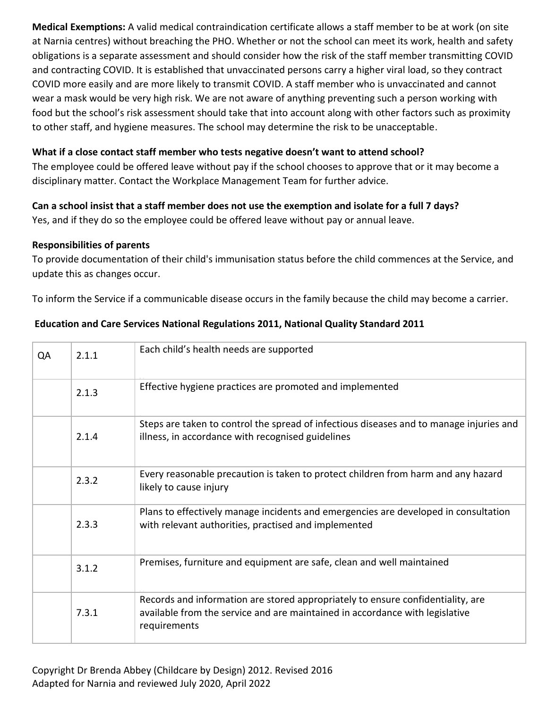**Medical Exemptions:** A valid medical contraindication certificate allows a staff member to be at work (on site at Narnia centres) without breaching the PHO. Whether or not the school can meet its work, health and safety obligations is a separate assessment and should consider how the risk of the staff member transmitting COVID and contracting COVID. It is established that unvaccinated persons carry a higher viral load, so they contract COVID more easily and are more likely to transmit COVID. A staff member who is unvaccinated and cannot wear a mask would be very high risk. We are not aware of anything preventing such a person working with food but the school's risk assessment should take that into account along with other factors such as proximity to other staff, and hygiene measures. The school may determine the risk to be unacceptable.

# **What if a close contact staff member who tests negative doesn't want to attend school?**

The employee could be offered leave without pay if the school chooses to approve that or it may become a disciplinary matter. Contact the Workplace Management Team for further advice.

# **Can a school insist that a staff member does not use the exemption and isolate for a full 7 days?**

Yes, and if they do so the employee could be offered leave without pay or annual leave.

## **Responsibilities of parents**

To provide documentation of their child's immunisation status before the child commences at the Service, and update this as changes occur.

To inform the Service if a communicable disease occurs in the family because the child may become a carrier.

| QA | 2.1.1 | Each child's health needs are supported                                                                                                                                         |
|----|-------|---------------------------------------------------------------------------------------------------------------------------------------------------------------------------------|
|    | 2.1.3 | Effective hygiene practices are promoted and implemented                                                                                                                        |
|    | 2.1.4 | Steps are taken to control the spread of infectious diseases and to manage injuries and<br>illness, in accordance with recognised guidelines                                    |
|    | 2.3.2 | Every reasonable precaution is taken to protect children from harm and any hazard<br>likely to cause injury                                                                     |
|    | 2.3.3 | Plans to effectively manage incidents and emergencies are developed in consultation<br>with relevant authorities, practised and implemented                                     |
|    | 3.1.2 | Premises, furniture and equipment are safe, clean and well maintained                                                                                                           |
|    | 7.3.1 | Records and information are stored appropriately to ensure confidentiality, are<br>available from the service and are maintained in accordance with legislative<br>requirements |

## **Education and Care Services National Regulations 2011, National Quality Standard 2011**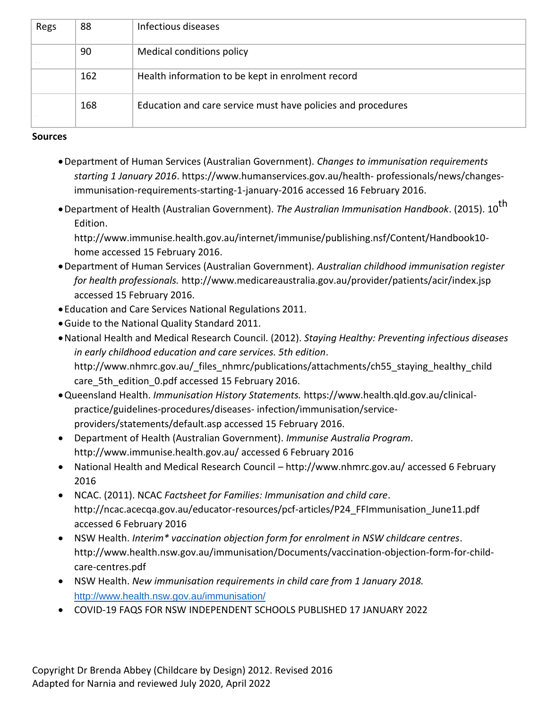| Regs       | 88  | Infectious diseases                                          |
|------------|-----|--------------------------------------------------------------|
| <b>COL</b> | 90  | Medical conditions policy                                    |
|            | 162 | Health information to be kept in enrolment record            |
|            | 168 | Education and care service must have policies and procedures |

#### **Sources**

- •Department of Human Services (Australian Government). *Changes to immunisation requirements starting 1 January 2016*. https://www.humanservices.gov.au/health- professionals/news/changesimmunisation-requirements-starting-1-january-2016 accessed 16 February 2016.
- •Department of Health (Australian Government). *The Australian Immunisation Handbook*. (2015). 10th Edition.

http://www.immunise.health.gov.au/internet/immunise/publishing.nsf/Content/Handbook10 home accessed 15 February 2016.

- •Department of Human Services (Australian Government). *Australian childhood immunisation register for health professionals.* http://www.medicareaustralia.gov.au/provider/patients/acir/index.jsp accessed 15 February 2016.
- Education and Care Services National Regulations 2011.
- •Guide to the National Quality Standard 2011.
- •National Health and Medical Research Council. (2012). *Staying Healthy: Preventing infectious diseases in early childhood education and care services. 5th edition*. http://www.nhmrc.gov.au/\_files\_nhmrc/publications/attachments/ch55\_staying\_healthy\_child care 5th edition 0.pdf accessed 15 February 2016.
- •Queensland Health. *Immunisation History Statements.* https://www.health.qld.gov.au/clinicalpractice/guidelines-procedures/diseases- infection/immunisation/serviceproviders/statements/default.asp accessed 15 February 2016.
- Department of Health (Australian Government). *Immunise Australia Program*. http://www.immunise.health.gov.au/ accessed 6 February 2016
- National Health and Medical Research Council http://www.nhmrc.gov.au/ accessed 6 February 2016
- NCAC. (2011). NCAC *Factsheet for Families: Immunisation and child care*. http://ncac.acecqa.gov.au/educator-resources/pcf-articles/P24\_FFImmunisation\_June11.pdf accessed 6 February 2016
- NSW Health. *Interim\* vaccination objection form for enrolment in NSW childcare centres*. http://www.health.nsw.gov.au/immunisation/Documents/vaccination-objection-form-for-childcare-centres.pdf
- NSW Health. *New immunisation requirements in child care from 1 January 2018.*  <http://www.health.nsw.gov.au/immunisation/>
- COVID-19 FAQS FOR NSW INDEPENDENT SCHOOLS PUBLISHED 17 JANUARY 2022